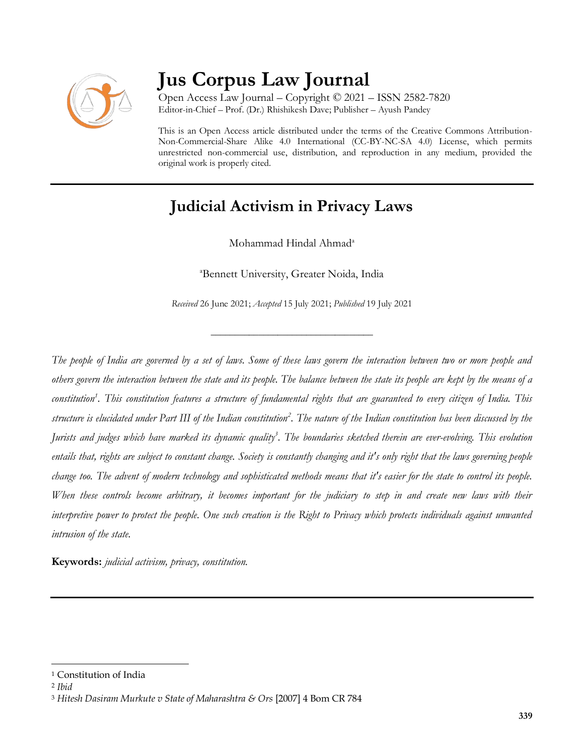

# **Jus Corpus Law Journal**

Open Access Law Journal – Copyright © 2021 – ISSN 2582-7820 Editor-in-Chief – Prof. (Dr.) Rhishikesh Dave; Publisher – Ayush Pandey

This is an Open Access article distributed under the terms of the Creative Commons Attribution-Non-Commercial-Share Alike 4.0 International (CC-BY-NC-SA 4.0) License, which permits unrestricted non-commercial use, distribution, and reproduction in any medium, provided the original work is properly cited.

# **Judicial Activism in Privacy Laws**

Mohammad Hindal Ahmad<sup>a</sup>

<sup>a</sup>Bennett University, Greater Noida, India

*Received* 26 June 2021; *Accepted* 15 July 2021; *Published* 19 July 2021

\_\_\_\_\_\_\_\_\_\_\_\_\_\_\_\_\_\_\_\_\_\_\_\_\_\_\_\_\_\_\_\_\_\_

*The people of India are governed by a set of laws. Some of these laws govern the interaction between two or more people and others govern the interaction between the state and its people. The balance between the state its people are kept by the means of a constitution<sup>1</sup> . This constitution features a structure of fundamental rights that are guaranteed to every citizen of India. This structure is elucidated under Part III of the Indian constitution<sup>2</sup> . The nature of the Indian constitution has been discussed by the Jurists and judges which have marked its dynamic quality<sup>3</sup> . The boundaries sketched therein are ever-evolving. This evolution entails that, rights are subject to constant change. Society is constantly changing and it's only right that the laws governing people change too. The advent of modern technology and sophisticated methods means that it's easier for the state to control its people. When these controls become arbitrary, it becomes important for the judiciary to step in and create new laws with their interpretive power to protect the people. One such creation is the Right to Privacy which protects individuals against unwanted intrusion of the state.*

**Keywords:** *judicial activism, privacy, constitution.*

<sup>1</sup> Constitution of India

<sup>2</sup> *Ibid*

<sup>3</sup> *Hitesh Dasiram Murkute v State of Maharashtra & Ors* [2007] 4 Bom CR 784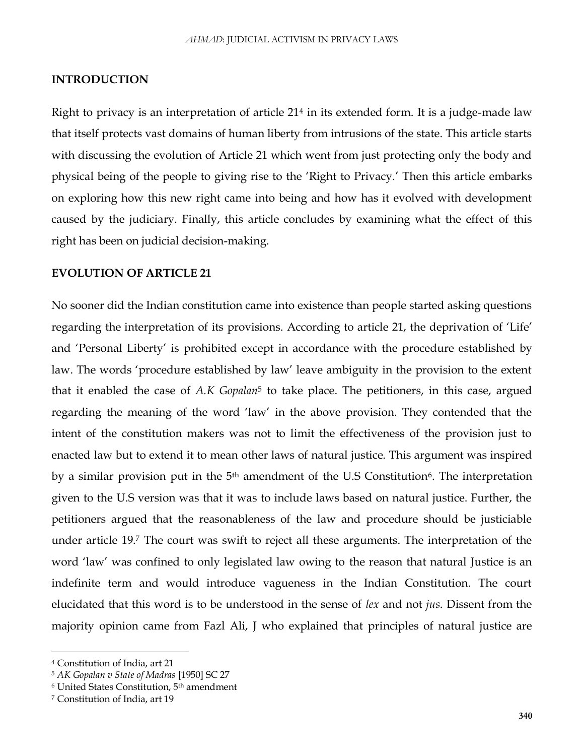#### **INTRODUCTION**

Right to privacy is an interpretation of article 21<sup>4</sup> in its extended form. It is a judge-made law that itself protects vast domains of human liberty from intrusions of the state. This article starts with discussing the evolution of Article 21 which went from just protecting only the body and physical being of the people to giving rise to the 'Right to Privacy.' Then this article embarks on exploring how this new right came into being and how has it evolved with development caused by the judiciary. Finally, this article concludes by examining what the effect of this right has been on judicial decision-making.

#### **EVOLUTION OF ARTICLE 21**

No sooner did the Indian constitution came into existence than people started asking questions regarding the interpretation of its provisions. According to article 21, the deprivation of 'Life' and 'Personal Liberty' is prohibited except in accordance with the procedure established by law. The words 'procedure established by law' leave ambiguity in the provision to the extent that it enabled the case of *A.K Gopalan*<sup>5</sup> to take place. The petitioners, in this case, argued regarding the meaning of the word 'law' in the above provision. They contended that the intent of the constitution makers was not to limit the effectiveness of the provision just to enacted law but to extend it to mean other laws of natural justice. This argument was inspired by a similar provision put in the 5<sup>th</sup> amendment of the U.S Constitution<sup>6</sup>. The interpretation given to the U.S version was that it was to include laws based on natural justice. Further, the petitioners argued that the reasonableness of the law and procedure should be justiciable under article 19. <sup>7</sup> The court was swift to reject all these arguments. The interpretation of the word 'law' was confined to only legislated law owing to the reason that natural Justice is an indefinite term and would introduce vagueness in the Indian Constitution. The court elucidated that this word is to be understood in the sense of *lex* and not *jus*. Dissent from the majority opinion came from Fazl Ali, J who explained that principles of natural justice are

<sup>4</sup> Constitution of India, art 21

<sup>5</sup> *AK Gopalan v State of Madras* [1950] SC 27

<sup>6</sup> United States Constitution, 5th amendment

<sup>7</sup> Constitution of India, art 19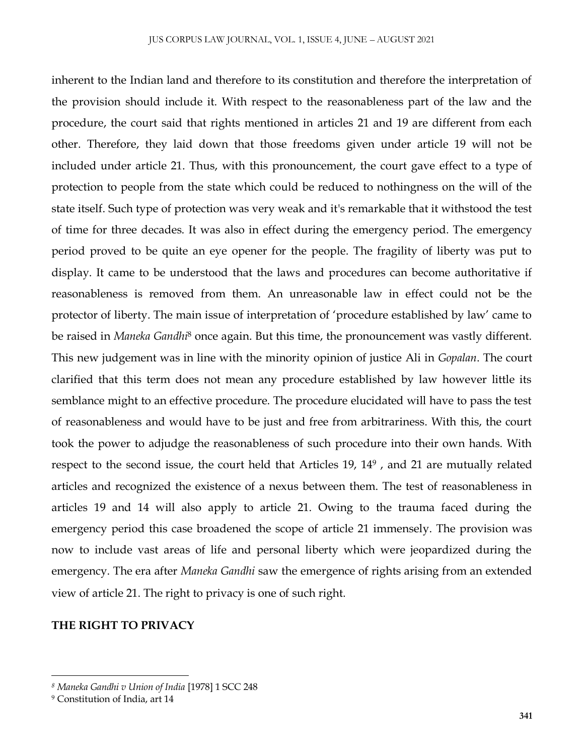inherent to the Indian land and therefore to its constitution and therefore the interpretation of the provision should include it. With respect to the reasonableness part of the law and the procedure, the court said that rights mentioned in articles 21 and 19 are different from each other. Therefore, they laid down that those freedoms given under article 19 will not be included under article 21. Thus, with this pronouncement, the court gave effect to a type of protection to people from the state which could be reduced to nothingness on the will of the state itself. Such type of protection was very weak and it's remarkable that it withstood the test of time for three decades. It was also in effect during the emergency period. The emergency period proved to be quite an eye opener for the people. The fragility of liberty was put to display. It came to be understood that the laws and procedures can become authoritative if reasonableness is removed from them. An unreasonable law in effect could not be the protector of liberty. The main issue of interpretation of 'procedure established by law' came to be raised in *Maneka Gandhi*<sup>8</sup> once again. But this time, the pronouncement was vastly different. This new judgement was in line with the minority opinion of justice Ali in *Gopalan*. The court clarified that this term does not mean any procedure established by law however little its semblance might to an effective procedure. The procedure elucidated will have to pass the test of reasonableness and would have to be just and free from arbitrariness. With this, the court took the power to adjudge the reasonableness of such procedure into their own hands. With respect to the second issue, the court held that Articles 19, 14<sup>9</sup>, and 21 are mutually related articles and recognized the existence of a nexus between them. The test of reasonableness in articles 19 and 14 will also apply to article 21. Owing to the trauma faced during the emergency period this case broadened the scope of article 21 immensely. The provision was now to include vast areas of life and personal liberty which were jeopardized during the emergency. The era after *Maneka Gandhi* saw the emergence of rights arising from an extended view of article 21. The right to privacy is one of such right.

#### **THE RIGHT TO PRIVACY**

*<sup>8</sup> Maneka Gandhi v Union of India* [1978] 1 SCC 248

<sup>9</sup> Constitution of India, art 14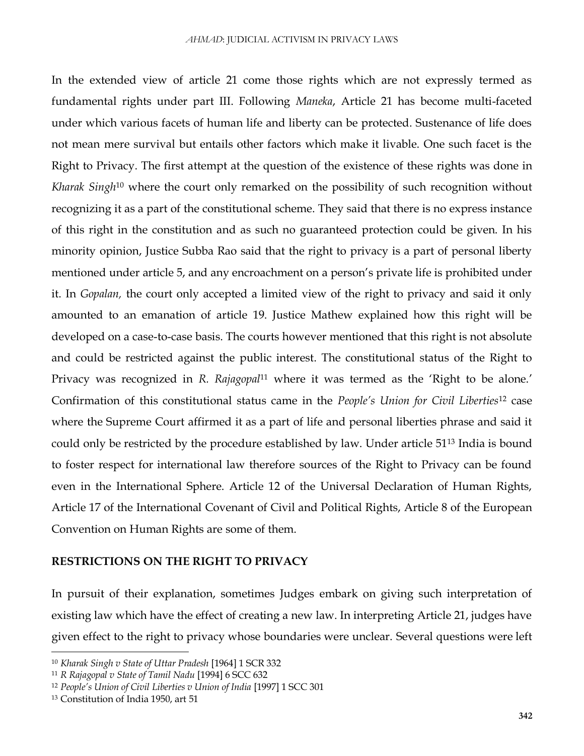In the extended view of article 21 come those rights which are not expressly termed as fundamental rights under part III. Following *Maneka*, Article 21 has become multi-faceted under which various facets of human life and liberty can be protected. Sustenance of life does not mean mere survival but entails other factors which make it livable. One such facet is the Right to Privacy. The first attempt at the question of the existence of these rights was done in *Kharak Singh*<sup>10</sup> where the court only remarked on the possibility of such recognition without recognizing it as a part of the constitutional scheme. They said that there is no express instance of this right in the constitution and as such no guaranteed protection could be given. In his minority opinion, Justice Subba Rao said that the right to privacy is a part of personal liberty mentioned under article 5, and any encroachment on a person's private life is prohibited under it. In *Gopalan,* the court only accepted a limited view of the right to privacy and said it only amounted to an emanation of article 19. Justice Mathew explained how this right will be developed on a case-to-case basis. The courts however mentioned that this right is not absolute and could be restricted against the public interest. The constitutional status of the Right to Privacy was recognized in *R. Rajagopal*<sup>11</sup> where it was termed as the 'Right to be alone.' Confirmation of this constitutional status came in the *People's Union for Civil Liberties*<sup>12</sup> case where the Supreme Court affirmed it as a part of life and personal liberties phrase and said it could only be restricted by the procedure established by law. Under article 51<sup>13</sup> India is bound to foster respect for international law therefore sources of the Right to Privacy can be found even in the International Sphere. Article 12 of the Universal Declaration of Human Rights, Article 17 of the International Covenant of Civil and Political Rights, Article 8 of the European Convention on Human Rights are some of them.

## **RESTRICTIONS ON THE RIGHT TO PRIVACY**

In pursuit of their explanation, sometimes Judges embark on giving such interpretation of existing law which have the effect of creating a new law. In interpreting Article 21, judges have given effect to the right to privacy whose boundaries were unclear. Several questions were left

<sup>10</sup> *Kharak Singh v State of Uttar Pradesh* [1964] 1 SCR 332

<sup>11</sup> *R Rajagopal v State of Tamil Nadu* [1994] 6 SCC 632

<sup>12</sup> *People's Union of Civil Liberties v Union of India* [1997] 1 SCC 301

<sup>13</sup> Constitution of India 1950, art 51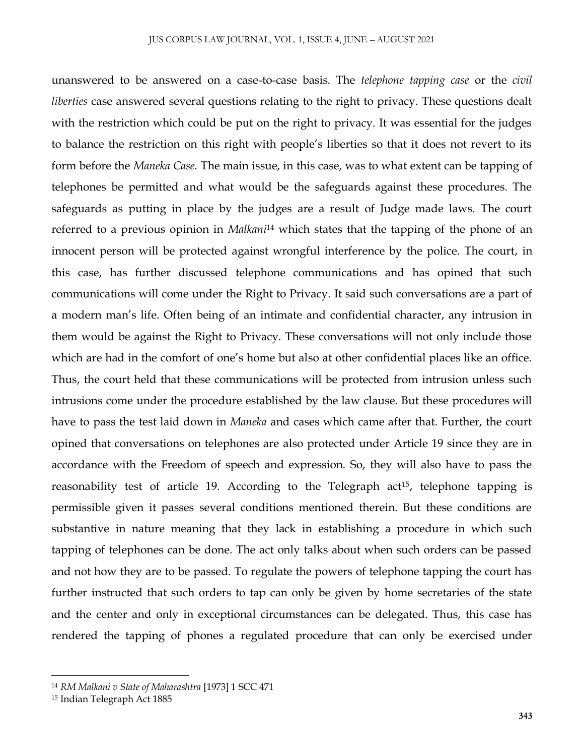unanswered to be answered on a case-to-case basis. The *telephone tapping case* or the *civil liberties* case answered several questions relating to the right to privacy. These questions dealt with the restriction which could be put on the right to privacy. It was essential for the judges to balance the restriction on this right with people's liberties so that it does not revert to its form before the *Maneka Case*. The main issue, in this case, was to what extent can be tapping of telephones be permitted and what would be the safeguards against these procedures. The safeguards as putting in place by the judges are a result of Judge made laws. The court referred to a previous opinion in *Malkani*<sup>14</sup> which states that the tapping of the phone of an innocent person will be protected against wrongful interference by the police. The court, in this case, has further discussed telephone communications and has opined that such communications will come under the Right to Privacy. It said such conversations are a part of a modern man's life. Often being of an intimate and confidential character, any intrusion in them would be against the Right to Privacy. These conversations will not only include those which are had in the comfort of one's home but also at other confidential places like an office. Thus, the court held that these communications will be protected from intrusion unless such intrusions come under the procedure established by the law clause. But these procedures will have to pass the test laid down in *Maneka* and cases which came after that. Further, the court opined that conversations on telephones are also protected under Article 19 since they are in accordance with the Freedom of speech and expression. So, they will also have to pass the reasonability test of article 19. According to the Telegraph  $act<sup>15</sup>$ , telephone tapping is permissible given it passes several conditions mentioned therein. But these conditions are substantive in nature meaning that they lack in establishing a procedure in which such tapping of telephones can be done. The act only talks about when such orders can be passed and not how they are to be passed. To regulate the powers of telephone tapping the court has further instructed that such orders to tap can only be given by home secretaries of the state and the center and only in exceptional circumstances can be delegated. Thus, this case has rendered the tapping of phones a regulated procedure that can only be exercised under

<sup>14</sup> *RM Malkani v State of Maharashtra* [1973] 1 SCC 471

<sup>15</sup> Indian Telegraph Act 1885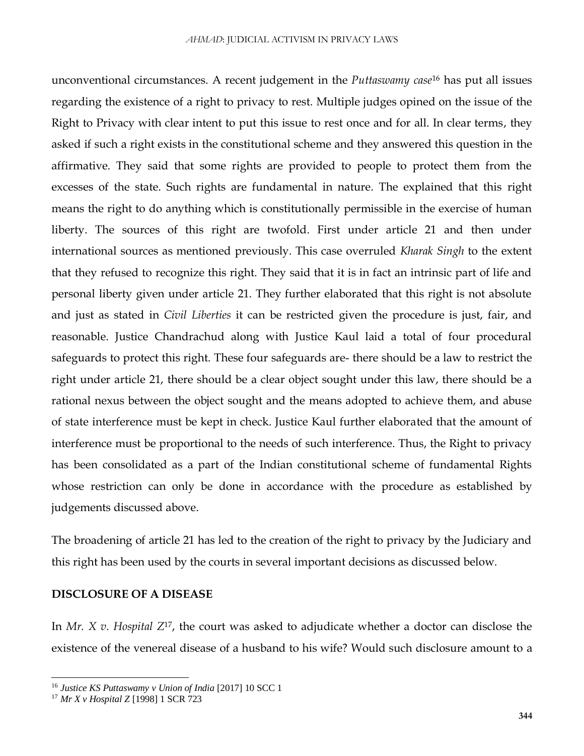unconventional circumstances. A recent judgement in the *Puttaswamy case*<sup>16</sup> has put all issues regarding the existence of a right to privacy to rest. Multiple judges opined on the issue of the Right to Privacy with clear intent to put this issue to rest once and for all. In clear terms, they asked if such a right exists in the constitutional scheme and they answered this question in the affirmative. They said that some rights are provided to people to protect them from the excesses of the state. Such rights are fundamental in nature. The explained that this right means the right to do anything which is constitutionally permissible in the exercise of human liberty. The sources of this right are twofold. First under article 21 and then under international sources as mentioned previously. This case overruled *Kharak Singh* to the extent that they refused to recognize this right. They said that it is in fact an intrinsic part of life and personal liberty given under article 21. They further elaborated that this right is not absolute and just as stated in *Civil Liberties* it can be restricted given the procedure is just, fair, and reasonable. Justice Chandrachud along with Justice Kaul laid a total of four procedural safeguards to protect this right. These four safeguards are- there should be a law to restrict the right under article 21, there should be a clear object sought under this law, there should be a rational nexus between the object sought and the means adopted to achieve them, and abuse of state interference must be kept in check. Justice Kaul further elaborated that the amount of interference must be proportional to the needs of such interference. Thus, the Right to privacy has been consolidated as a part of the Indian constitutional scheme of fundamental Rights whose restriction can only be done in accordance with the procedure as established by judgements discussed above.

The broadening of article 21 has led to the creation of the right to privacy by the Judiciary and this right has been used by the courts in several important decisions as discussed below.

## **DISCLOSURE OF A DISEASE**

In *Mr. X v. Hospital Z*17, the court was asked to adjudicate whether a doctor can disclose the existence of the venereal disease of a husband to his wife? Would such disclosure amount to a

<sup>16</sup> *Justice KS Puttaswamy v Union of India* [2017] 10 SCC 1

<sup>17</sup> *Mr X v Hospital Z* [1998] 1 SCR 723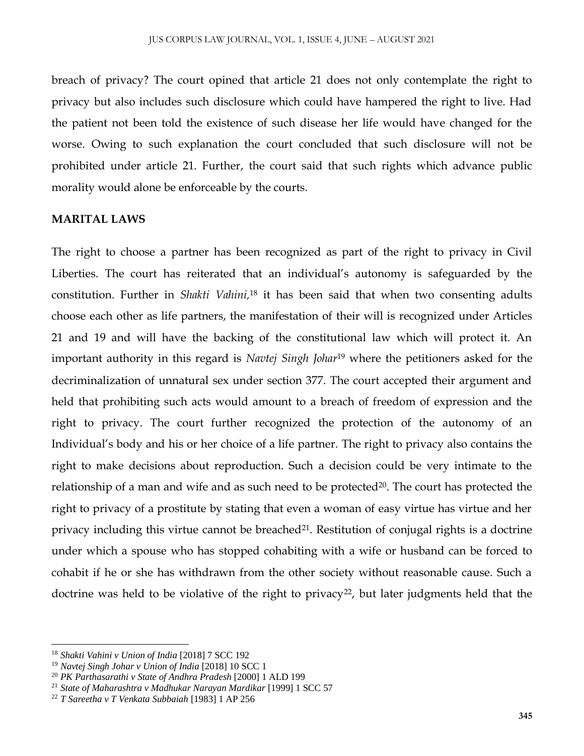breach of privacy? The court opined that article 21 does not only contemplate the right to privacy but also includes such disclosure which could have hampered the right to live. Had the patient not been told the existence of such disease her life would have changed for the worse. Owing to such explanation the court concluded that such disclosure will not be prohibited under article 21. Further, the court said that such rights which advance public morality would alone be enforceable by the courts.

#### **MARITAL LAWS**

The right to choose a partner has been recognized as part of the right to privacy in Civil Liberties. The court has reiterated that an individual's autonomy is safeguarded by the constitution. Further in *Shakti Vahini,* <sup>18</sup> it has been said that when two consenting adults choose each other as life partners, the manifestation of their will is recognized under Articles 21 and 19 and will have the backing of the constitutional law which will protect it. An important authority in this regard is *Navtej Singh Johar* <sup>19</sup> where the petitioners asked for the decriminalization of unnatural sex under section 377. The court accepted their argument and held that prohibiting such acts would amount to a breach of freedom of expression and the right to privacy. The court further recognized the protection of the autonomy of an Individual's body and his or her choice of a life partner. The right to privacy also contains the right to make decisions about reproduction. Such a decision could be very intimate to the relationship of a man and wife and as such need to be protected<sup>20</sup>. The court has protected the right to privacy of a prostitute by stating that even a woman of easy virtue has virtue and her privacy including this virtue cannot be breached<sup>21</sup>. Restitution of conjugal rights is a doctrine under which a spouse who has stopped cohabiting with a wife or husband can be forced to cohabit if he or she has withdrawn from the other society without reasonable cause. Such a doctrine was held to be violative of the right to privacy<sup>22</sup>, but later judgments held that the

<sup>18</sup> *Shakti Vahini v Union of India* [2018] 7 SCC 192

<sup>19</sup> *Navtej Singh Johar v Union of India* [2018] 10 SCC 1

<sup>20</sup> *PK Parthasarathi v State of Andhra Pradesh* [2000] 1 ALD 199

<sup>21</sup> *State of Maharashtra v Madhukar Narayan Mardikar* [1999] 1 SCC 57

<sup>22</sup> *T Sareetha v T Venkata Subbaiah* [1983] 1 AP 256